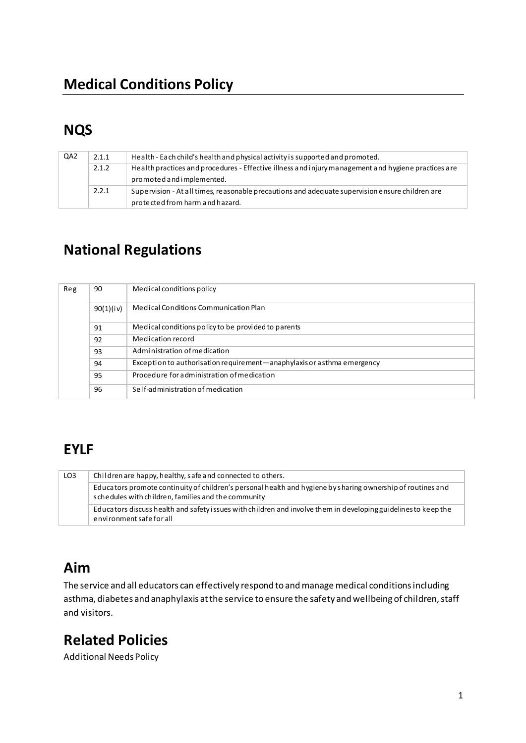# **NQS**

| QA <sub>2</sub> | 2.1.1 | Health - Each child's health and physical activity is supported and promoted.                       |
|-----------------|-------|-----------------------------------------------------------------------------------------------------|
|                 | 2.1.2 | Health practices and procedures - Effective illness and injury management and hygiene practices are |
|                 |       | promoted and implemented.                                                                           |
|                 | 2.2.1 | Supervision - At all times, reasonable precautions and adequate supervision ensure children are     |
|                 |       | protected from harm and hazard.                                                                     |

# **National Regulations**

| Reg | 90        | Medical conditions policy                                               |
|-----|-----------|-------------------------------------------------------------------------|
|     | 90(1)(iv) | Medical Conditions Communication Plan                                   |
|     | 91        | Medical conditions policy to be provided to parents                     |
|     | 92        | Medication record                                                       |
|     | 93        | Administration of medication                                            |
|     | 94        | Exception to authorisation requirement—anaphylaxis or a sthma emergency |
|     | 95        | Procedure for administration of medication                              |
|     | 96        | Self-administration of medication                                       |

# **EYLF**

| LO <sub>3</sub> | Children are happy, healthy, safe and connected to others.                                                                                                         |  |  |  |
|-----------------|--------------------------------------------------------------------------------------------------------------------------------------------------------------------|--|--|--|
|                 | Educators promote continuity of children's personal health and hygiene by sharing ownership of routines and<br>schedules with children, families and the community |  |  |  |
|                 | Educators discuss health and safety issues with children and involve them in developing guidelines to keep the<br>environment safe for all                         |  |  |  |

## Aim

The service and all educators can effectively respond to and manage medical conditions including asthma, diabetes and anaphylaxis at the service to ensure the safety and wellbeing of children, staff and visitors.

# **Related Policies**

**Additional Needs Policy**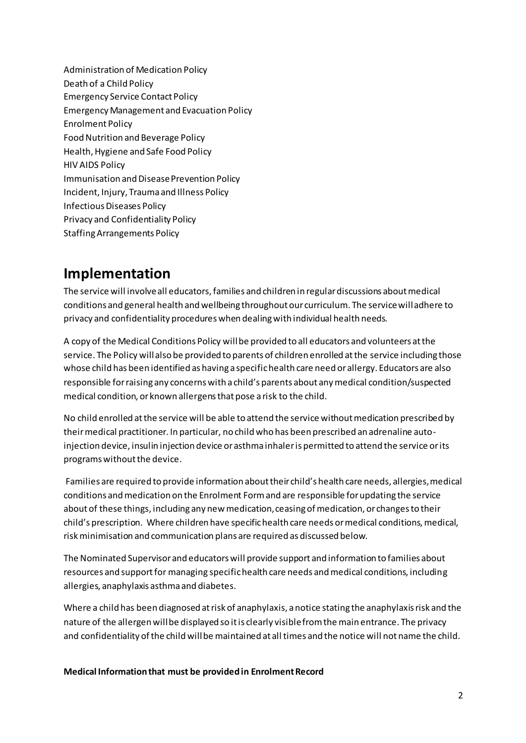Administration of Medication Policy Death of a Child Policy **Emergency Service Contact Policy Emergency Management and Evacuation Policy Enrolment Policy** Food Nutrition and Beverage Policy Health, Hygiene and Safe Food Policy **HIV AIDS Policy** Immunisation and Disease Prevention Policy Incident, Injury, Trauma and Illness Policy **Infectious Diseases Policy** Privacy and Confidentiality Policy **Staffing Arrangements Policy** 

## Implementation

The service will involve all educators, families and children in regular discussions about medical conditions and general health and wellbeing throughout our curriculum. The service will adhere to privacy and confidentiality procedures when dealing with individual health needs.

A copy of the Medical Conditions Policy will be provided to all educators and volunteers at the service. The Policy will also be provided to parents of children enrolled at the service including those whose child has been identified as having a specific health care need or allergy. Educators are also responsible for raising any concerns with a child's parents about any medical condition/suspected medical condition, or known allergens that pose a risk to the child.

No child enrolled at the service will be able to attend the service without medication prescribed by their medical practitioner. In particular, no child who has been prescribed an adrenaline autoinjection device, insulin injection device or asthma inhaler is permitted to attend the service or its programs without the device.

Families are required to provide information about their child's health care needs, allergies, medical conditions and medication on the Enrolment Form and are responsible for updating the service about of these things, including any new medication, ceasing of medication, or changes to their child's prescription. Where children have specific health care needs or medical conditions, medical, risk minimisation and communication plans are required as discussed below.

The Nominated Supervisor and educators will provide support and information to families about resources and support for managing specific health care needs and medical conditions, including allergies, anaphylaxis asthma and diabetes.

Where a child has been diagnosed at risk of anaphylaxis, a notice stating the anaphylaxis risk and the nature of the allergen will be displayed so it is clearly visible from the main entrance. The privacy and confidentiality of the child will be maintained at all times and the notice will not name the child.

Medical Information that must be provided in Enrolment Record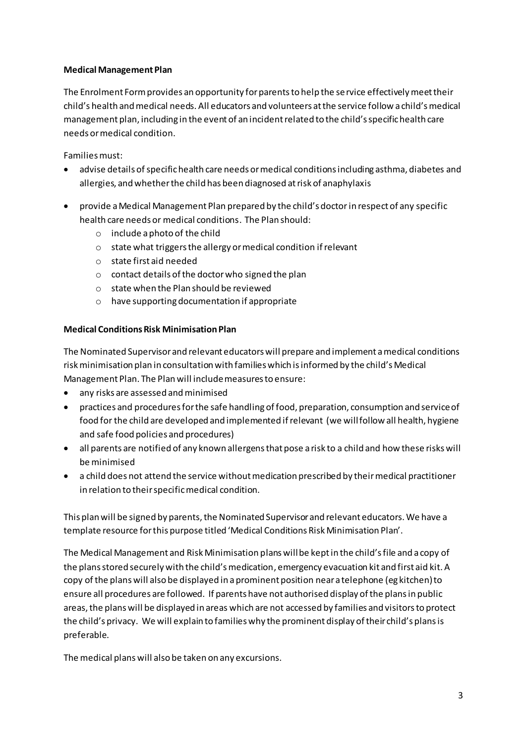#### **Medical Management Plan**

The Enrolment Form provides an opportunity for parents to help the service effectively meet their child's health and medical needs. All educators and volunteers at the service follow a child's medical management plan, including in the event of an incident related to the child's specific health care needs or medical condition.

Families must:

- advise details of specific health care needs or medical conditions including asthma, diabetes and allergies, and whether the child has been diagnosed at risk of anaphylaxis
- provide a Medical Management Plan prepared by the child's doctor in respect of any specific health care needs or medical conditions. The Plan should:
	- $\circ$  include a photo of the child
	- $\circ$  state what triggers the allergy or medical condition if relevant
	- $\circ$  state first aid needed
	- o contact details of the doctor who signed the plan
	- o state when the Plan should be reviewed
	- $\circ$  have supporting documentation if appropriate

#### **Medical Conditions Risk Minimisation Plan**

The Nominated Supervisor and relevant educators will prepare and implement a medical conditions risk minimisation plan in consultation with families which is informed by the child's Medical Management Plan. The Plan will include measures to ensure:

- $\bullet$ any risks are assessed and minimised
- practices and procedures for the safe handling of food, preparation, consumption and service of food for the child are developed and implemented if relevant (we will follow all health, hygiene and safe food policies and procedures)
- all parents are notified of any known allergens that pose a risk to a child and how these risks will be minimised
- a child does not attend the service without medication prescribed by their medical practitioner in relation to their specific medical condition.

This plan will be signed by parents, the Nominated Supervisor and relevant educators. We have a template resource for this purpose titled 'Medical Conditions Risk Minimisation Plan'.

The Medical Management and Risk Minimisation plans will be kept in the child's file and a copy of the plans stored securely with the child's medication, emergency evacuation kit and first aid kit. A copy of the plans will also be displayed in a prominent position near a telephone (eg kitchen) to ensure all procedures are followed. If parents have not authorised display of the plans in public areas, the plans will be displayed in areas which are not accessed by families and visitors to protect the child's privacy. We will explain to families why the prominent display of their child's plans is preferable.

The medical plans will also be taken on any excursions.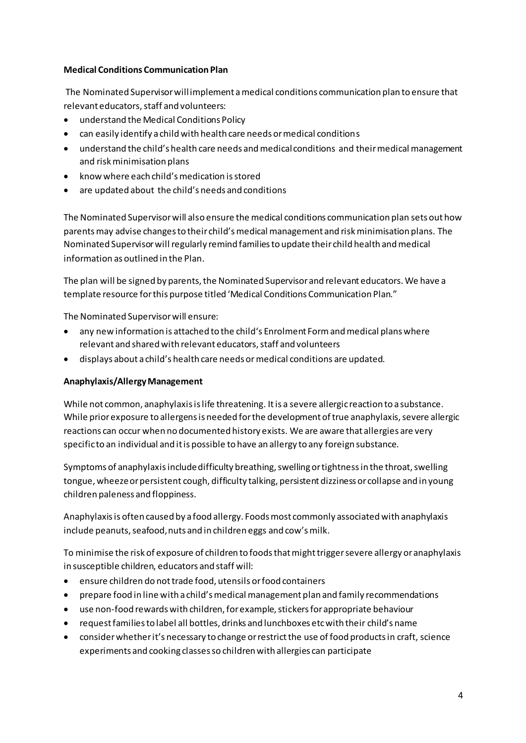#### **Medical Conditions Communication Plan**

The Nominated Supervisor will implement a medical conditions communication plan to ensure that relevant educators, staff and volunteers:

- understand the Medical Conditions Policy
- can easily identify a child with health care needs or medical conditions
- understand the child's health care needs and medical conditions and their medical management and risk minimisation plans
- know where each child's medication is stored
- are updated about the child's needs and conditions

The Nominated Supervisor will also ensure the medical conditions communication plan sets out how parents may advise changes to their child's medical management and risk minimisation plans. The Nominated Supervisor will regularly remind families to update their child health and medical information as outlined in the Plan.

The plan will be signed by parents, the Nominated Supervisor and relevant educators. We have a template resource for this purpose titled 'Medical Conditions Communication Plan."

The Nominated Supervisor will ensure:

- any new information is attached to the child's Enrolment Form and medical plans where relevant and shared with relevant educators, staff and volunteers
- displays about a child's health care needs or medical conditions are updated.

#### Anaphylaxis/Allergy Management

While not common, anaphylaxis is life threatening. It is a severe allergic reaction to a substance. While prior exposure to allergens is needed for the development of true anaphylaxis, severe allergic reactions can occur when no documented history exists. We are aware that allergies are very specific to an individual and it is possible to have an allergy to any foreign substance.

Symptoms of anaphylaxis include difficulty breathing, swelling or tightness in the throat, swelling tongue, wheeze or persistent cough, difficulty talking, persistent dizziness or collapse and in young children paleness and floppiness.

Anaphylaxis is often caused by a food allergy. Foods most commonly associated with anaphylaxis include peanuts, seafood, nuts and in children eggs and cow's milk.

To minimise the risk of exposure of children to foods that might trigger severe allergy or anaphylaxis in susceptible children, educators and staff will:

- ensure children do not trade food, utensils or food containers  $\bullet$
- prepare food in line with a child's medical management plan and family recommendations
- use non-food rewards with children, for example, stickers for appropriate behaviour  $\bullet$
- request families to label all bottles, drinks and lunchboxes etc with their child's name
- consider whether it's necessary to change or restrict the use of food products in craft, science experiments and cooking classes so children with allergies can participate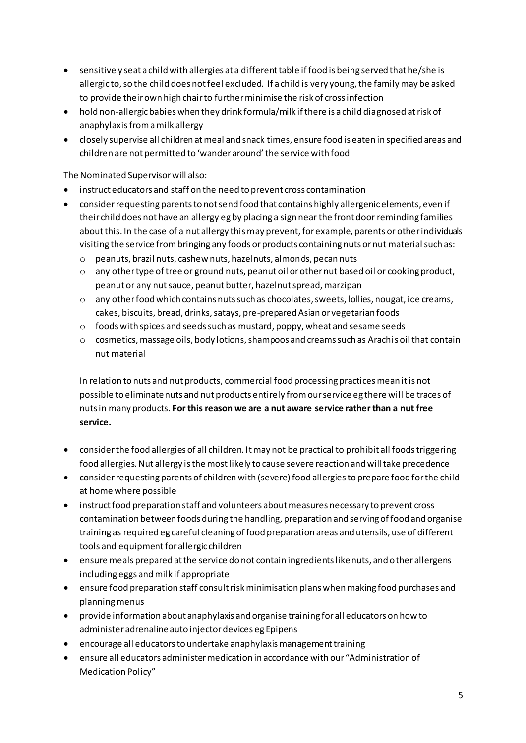- sensitively seat a child with allergies at a different table if food is being served that he/she is allergic to, so the child does not feel excluded. If a child is very young, the family may be asked to provide their own high chair to further minimise the risk of cross infection
- hold non-allergic babies when they drink formula/milk if there is a child diagnosed at risk of anaphylaxis from a milk allergy
- closely supervise all children at meal and snack times, ensure food is eaten in specified areas and children are not permitted to 'wander around' the service with food

The Nominated Supervisor will also:

- instruct educators and staff on the need to prevent cross contamination
- consider requesting parents to not send food that contains highly allergenic elements, even if their child does not have an allergy eg by placing a sign near the front door reminding families about this. In the case of a nut allergy this may prevent, for example, parents or other individuals visiting the service from bringing any foods or products containing nuts or nut material such as:
	- o peanuts, brazil nuts, cashew nuts, hazelnuts, almonds, pecan nuts
	- $\circ$  any other type of tree or ground nuts, peanut oil or other nut based oil or cooking product, peanut or any nut sauce, peanut butter, hazelnut spread, marzipan
	- $\circ$  any other food which contains nuts such as chocolates, sweets, lollies, nougat, ice creams, cakes, biscuits, bread, drinks, satays, pre-prepared Asian or vegetarian foods
	- $\circ$  foods with spices and seeds such as mustard, poppy, wheat and sesame seeds
	- $\circ$  cosmetics, massage oils, body lotions, shampoos and creams such as Arachi s oil that contain nut material

In relation to nuts and nut products, commercial food processing practices mean it is not possible to eliminate nuts and nut products entirely from our service eg there will be traces of nuts in many products. **For this reason we are a nut aware service rather than a nut free service.** 

- consider the food allergies of all children. It may not be practical to prohibit all foods triggering food allergies. Nut allergy is the most likely to cause severe reaction and will take precedence
- consider requesting parents of children with (severe) food allergies to prepare food for the child at home where possible
- instruct food preparation staff and volunteers about measures necessary to prevent cross contamination between foods during the handling, preparation and serving of food and organise training as required eg careful cleaning of food preparation areas and utensils, use of different tools and equipment for allergic children
- ensure meals prepared at the service do not contain ingredients like nuts, and other allergens including eggs and milk if appropriate
- ensure food preparation staff consult risk minimisation plans when making food purchases and planning menus
- provide information about anaphylaxis and organise training for all educators on how to administer adrenaline auto injector devices eg Epipens
- encourage all educators to undertake anaphylaxis management training
- ensure all educators administer medication in accordance with our "Administration of Medication Policy"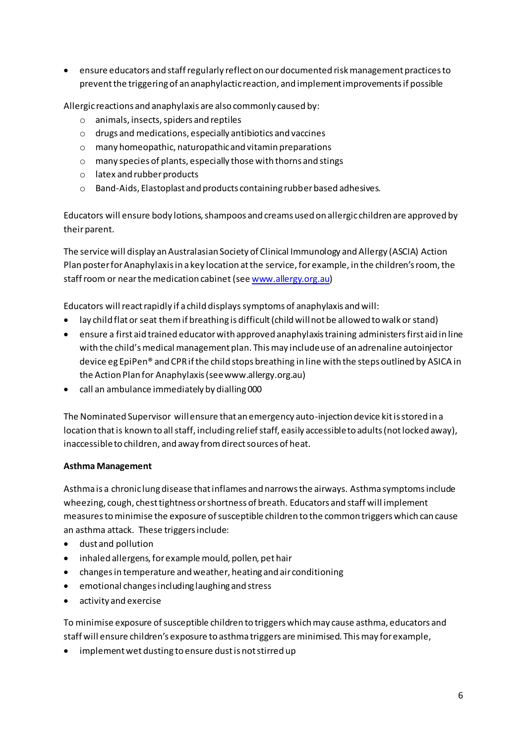• ensure educators and staff regularly reflect on our documented risk management practices to prevent the triggering of an anaphylactic reaction, and implement improvements if possible

Allergic reactions and anaphylaxis are also commonly caused by:

- o animals, insects, spiders and reptiles
- o drugs and medications, especially antibiotics and vaccines
- o many homeopathic, naturopathic and vitamin preparations
- o many species of plants, especially those with thorns and stings
- o latex and rubber products
- o Band-Aids, Elastoplast and products containing rubber based adhesives.

Educators will ensure body lotions, shampoos and creams used on allergic children are approved by their parent.

The service will display an Australasian Society of Clinical Immunology and Allergy (ASCIA) Action Plan poster for Anaphylaxis in a key location at the service, for example, in the children's room, the staff room or near the medication cabinet (se[e www.allergy.org.au](http://www.allergy.org.au/))

Educators will react rapidly if a child displays symptoms of anaphylaxis and will:

- lay child flat or seat them if breathing is difficult (child will not be allowed to walk or stand)
- ensure a first aid trained educator with approved anaphylaxis training administers first aid in line with the child's medical management plan. This may include use of an adrenaline autoinjector device eg EpiPen® and CPR if the child stops breathing in line with the steps outlined by ASICA in the Action Plan for Anaphylaxis (see www.allergy.org.au)
- call an ambulance immediately by dialling 000

The Nominated Supervisor will ensure that an emergency auto-injection device kit is stored in a location that is known to all staff, including relief staff, easily accessible to adults (not locked away), inaccessible to children, and away from direct sources of heat.

#### **Asthma Management**

Asthma is a chronic lung disease that inflames and narrows the airways. Asthma symptoms include wheezing, cough, chest tightness or shortness of breath. Educators and staff will implement measures to minimise the exposure of susceptible children to the common triggers which can cause an asthma attack. These triggers include:

- dust and pollution
- inhaled allergens, for example mould, pollen, pet hair
- changes in temperature and weather, heating and air conditioning
- emotional changes including laughing and stress
- activity and exercise

To minimise exposure of susceptible children to triggers which may cause asthma, educators and staff will ensure children's exposure to asthma triggers are minimised. This may for example,

• implement wet dusting to ensure dust is not stirred up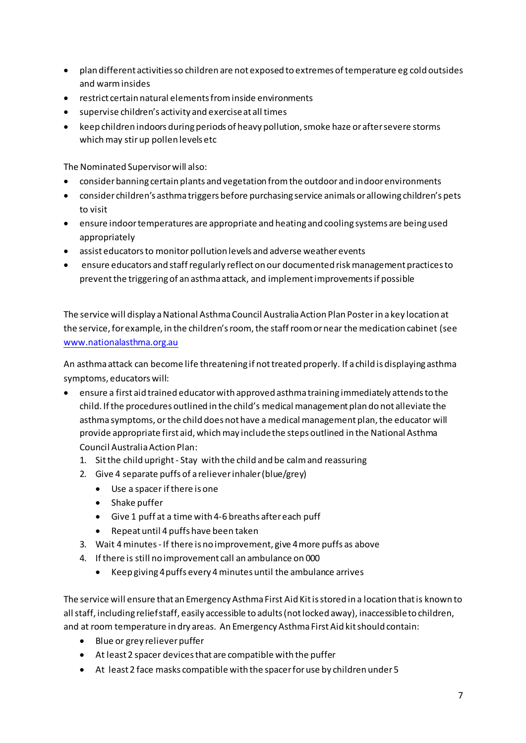- plan different activities so children are not exposed to extremes of temperature eg cold outsides and warm insides
- restrict certain natural elements from inside environments
- supervise children's activity and exercise at all times
- keep children indoors during periods of heavy pollution, smoke haze or after severe storms which may stir up pollen levels etc

The Nominated Supervisor will also:

- consider banning certain plants and vegetation from the outdoor and indoor environments
- consider children's asthma triggers before purchasing service animals or allowing children's pets to visit
- ensure indoor temperatures are appropriate and heating and cooling systems are being used appropriately
- assist educators to monitor pollution levels and adverse weather events
- ensure educators and staff regularly reflect on our documented risk management practices to prevent the triggering of an asthma attack, and implement improvements if possible

The service will display a National Asthma Council Australia Action Plan Poster in a key location at the service, for example, in the children's room, the staff room or near the medication cabinet (see www.nationalasthma.org.au

An asthma attack can become life threatening if not treated properly. If a child is displaying asthma symptoms, educators will:

- ensure a first aid trained educator with approved asthma training immediately attends to the child. If the procedures outlined in the child's medical management plan do not alleviate the asthma symptoms, or the child does not have a medical management plan, the educator will provide appropriate first aid, which may include the steps outlined in the National Asthma Council Australia Action Plan:
	- 1. Sit the child upright Stay with the child and be calm and reassuring
	- 2. Give 4 separate puffs of a reliever inhaler (blue/grey)
		- Use a spacer if there is one
		- $\bullet$  Shake puffer
		- Give 1 puff at a time with 4-6 breaths after each puff
		- Repeat until 4 puffs have been taken  $\bullet$
	- 3. Wait 4 minutes If there is no improvement, give 4 more puffs as above
	- 4. If there is still no improvement call an ambulance on 000
		- Keep giving 4 puffs every 4 minutes until the ambulance arrives  $\bullet$

The service will ensure that an Emergency Asthma First Aid Kit is stored in a location that is known to all staff, including relief staff, easily accessible to adults (not locked away), inaccessible to children, and at room temperature in dry areas. An Emergency Asthma First Aid kit should contain:

- Blue or grey reliever puffer
- At least 2 spacer devices that are compatible with the puffer
- At least 2 face masks compatible with the spacer for use by children under 5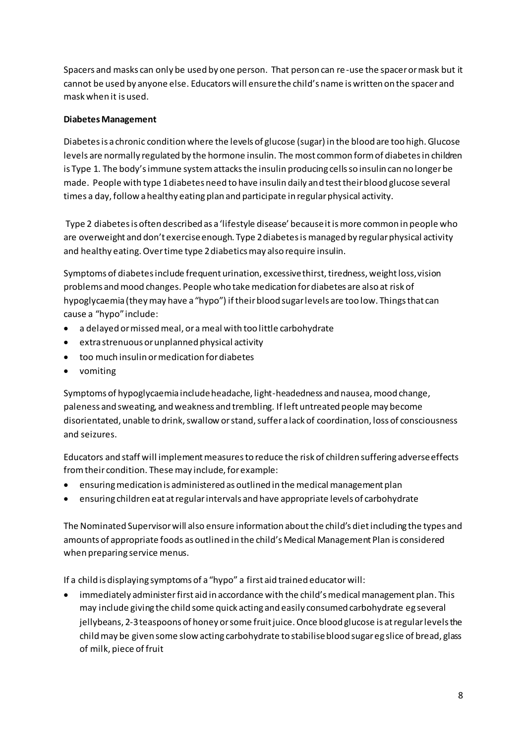Spacers and masks can only be used by one person. That person can re-use the spacer or mask but it cannot be used by anyone else. Educators will ensure the child's name is written on the spacer and mask when it is used.

#### **Diabetes Management**

Diabetes is a chronic condition where the levels of glucose (sugar) in the blood are too high. Glucose levels are normally regulated by the hormone insulin. The most common form of diabetes in children is Type 1. The body's immune system attacks the insulin producing cells so insulin can no longer be made. People with type 1 diabetes need to have insulin daily and test their blood glucose several times a day, follow a healthy eating plan and participate in regular physical activity.

Type 2 diabetes is often described as a 'lifestyle disease' because it is more common in people who are overweight and don't exercise enough. Type 2 diabetes is managed by regular physical activity and healthy eating. Over time type 2 diabetics may also require insulin.

Symptoms of diabetes include frequent urination, excessive thirst, tiredness, weight loss, vision problems and mood changes. People who take medication for diabetes are also at risk of hypoglycaemia (they may have a "hypo") if their blood sugar levels are too low. Things that can cause a "hypo" include:

- a delayed or missed meal, or a meal with too little carbohydrate
- extra strenuous or unplanned physical activity
- too much insulin or medication for diabetes
- vomiting

Symptoms of hypoglycaemia include headache, light-headedness and nausea, mood change, paleness and sweating, and weakness and trembling. If left untreated people may become disorientated, unable to drink, swallow or stand, suffer a lack of coordination, loss of consciousness and seizures.

Educators and staff will implement measures to reduce the risk of children suffering adverse effects from their condition. These may include, for example:

- ensuring medication is administered as outlined in the medical management plan
- ensuring children eat at regular intervals and have appropriate levels of carbohydrate

The Nominated Supervisor will also ensure information about the child's diet including the types and amounts of appropriate foods as outlined in the child's Medical Management Plan is considered when preparing service menus.

If a child is displaying symptoms of a "hypo" a first aid trained educator will:

immediately administer first aid in accordance with the child's medical management plan. This may include giving the child some quick acting and easily consumed carbohydrate eg several jellybeans, 2-3 teaspoons of honey or some fruit juice. Once blood glucose is at regular levels the child may be given some slow acting carbohydrate to stabilise blood sugar eg slice of bread, glass of milk, piece of fruit